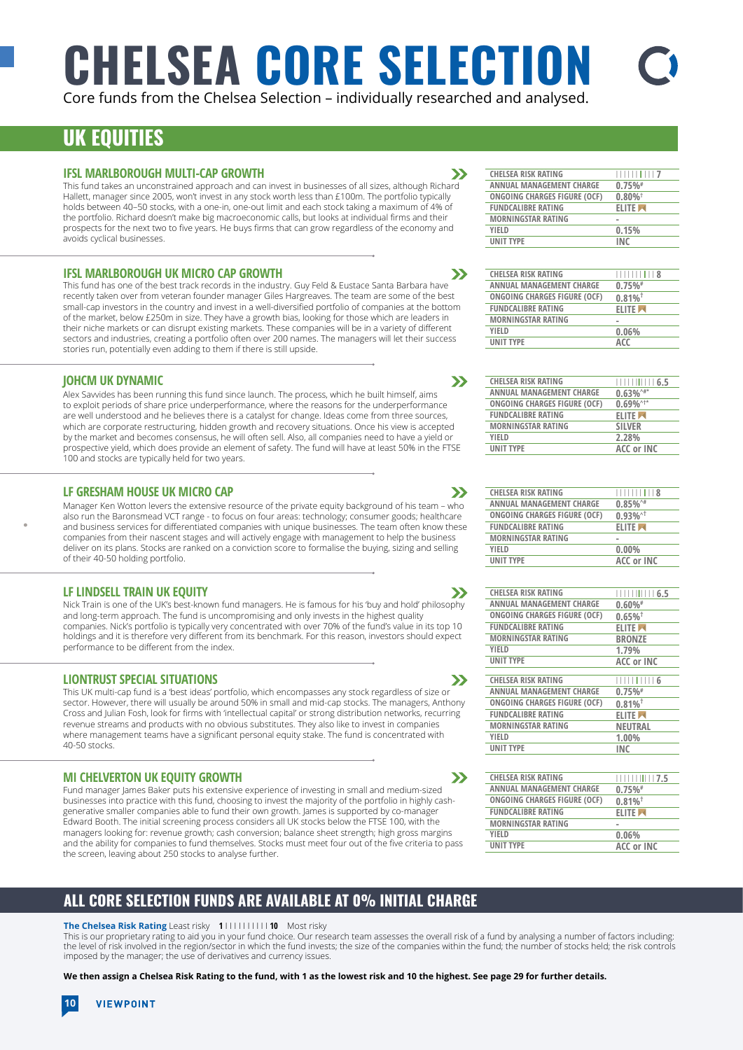# **CHELSEA CORE SELECTION**

 $\boldsymbol{\Sigma}$ 

 $\rightarrow$ 

 $\mathbf{v}$ 

 $\boldsymbol{\Sigma}$ 

 $\sum$ 

 $\boldsymbol{\Sigma}$ 

 $\mathbf{v}$ 

Core funds from the Chelsea Selection – individually researched and analysed.

# **UK EQUITIES**

### **IFSL MARLBOROUGH MULTI-CAP GROWTH**

This fund takes an unconstrained approach and can invest in businesses of all sizes, although Richard Hallett, manager since 2005, won't invest in any stock worth less than £100m. The portfolio typically holds between 40–50 stocks, with a one-in, one-out limit and each stock taking a maximum of 4% of the portfolio. Richard doesn't make big macroeconomic calls, but looks at individual firms and their prospects for the next two to five years. He buys firms that can grow regardless of the economy and avoids cyclical businesses.

### **IFSL MARLBOROUGH UK MICRO CAP GROWTH**

This fund has one of the best track records in the industry. Guy Feld & Eustace Santa Barbara have recently taken over from veteran founder manager Giles Hargreaves. The team are some of the best small-cap investors in the country and invest in a well-diversified portfolio of companies at the bottom of the market, below £250m in size. They have a growth bias, looking for those which are leaders in their niche markets or can disrupt existing markets. These companies will be in a variety of different sectors and industries, creating a portfolio often over 200 names. The managers will let their success stories run, potentially even adding to them if there is still upside.

### **JOHCM UK DYNAMIC**

Alex Savvides has been running this fund since launch. The process, which he built himself, aims to exploit periods of share price underperformance, where the reasons for the underperformance are well understood and he believes there is a catalyst for change. Ideas come from three sources, which are corporate restructuring, hidden growth and recovery situations. Once his view is accepted by the market and becomes consensus, he will often sell. Also, all companies need to have a yield or prospective yield, which does provide an element of safety. The fund will have at least 50% in the FTSE 100 and stocks are typically held for two years.

### **LF GRESHAM HOUSE UK MICRO CAP**

Manager Ken Wotton levers the extensive resource of the private equity background of his team – who also run the Baronsmead VCT range - to focus on four areas: technology; consumer goods; healthcare and business services for differentiated companies with unique businesses. The team often know these companies from their nascent stages and will actively engage with management to help the business deliver on its plans. Stocks are ranked on a conviction score to formalise the buying, sizing and selling of their 40-50 holding portfolio.

### **LF LINDSELL TRAIN UK EQUITY**

Nick Train is one of the UK's best-known fund managers. He is famous for his 'buy and hold' philosophy and long-term approach. The fund is uncompromising and only invests in the highest quality companies. Nick's portfolio is typically very concentrated with over 70% of the fund's value in its top 10 holdings and it is therefore very different from its benchmark. For this reason, investors should expect performance to be different from the index.

### **LIONTRUST SPECIAL SITUATIONS**

This UK multi-cap fund is a 'best ideas' portfolio, which encompasses any stock regardless of size or sector. However, there will usually be around 50% in small and mid-cap stocks. The managers, Anthony Cross and Julian Fosh, look for firms with 'intellectual capital' or strong distribution networks, recurring revenue streams and products with no obvious substitutes. They also like to invest in companies where management teams have a significant personal equity stake. The fund is concentrated with 40-50 stocks.

### **MI CHELVERTON UK EQUITY GROWTH**

Fund manager James Baker puts his extensive experience of investing in small and medium-sized businesses into practice with this fund, choosing to invest the majority of the portfolio in highly cashgenerative smaller companies able to fund their own growth. James is supported by co-manager Edward Booth. The initial screening process considers all UK stocks below the FTSE 100, with the managers looking for: revenue growth; cash conversion; balance sheet strength; high gross margins and the ability for companies to fund themselves. Stocks must meet four out of the five criteria to pass the screen, leaving about 250 stocks to analyse further.

### **ALL CORE SELECTION FUNDS ARE AVAILABLE AT 0% INITIAL CHARGE**

### **The Chelsea Risk Rating** Least risky **1** I I I I I I I I I I **10** Most risky

This is our proprietary rating to aid you in your fund choice. Our research team assesses the overall risk of a fund by analysing a number of factors including: the level of risk involved in the region/sector in which the fund invests; the size of the companies within the fund; the number of stocks held; the risk controls imposed by the manager; the use of derivatives and currency issues.

**We then assign a Chelsea Risk Rating to the fund, with 1 as the lowest risk and 10 the highest. See page 29 for further details.** 

| <b>CHELSEA RISK RATING</b>   |                       |
|------------------------------|-----------------------|
| ANNUAL MANAGEMENT CHARGE     | $0.75\%$ <sup>#</sup> |
| ONGOING CHARGES FIGURE (OCF) | $0.80\%$ <sup>†</sup> |
| <b>FUNDCALIBRE RATING</b>    | <b>ELITE</b>          |
| <b>MORNINGSTAR RATING</b>    |                       |
| <b>YIFLD</b>                 | 0.15%                 |
| <b>UNIT TYPE</b>             | <b>INC</b>            |
|                              |                       |

| <b>CHELSEA RISK RATING</b>      | $\frac{1}{1}$ $\frac{1}{1}$ $\frac{1}{1}$ $\frac{1}{1}$ $\frac{1}{1}$ $\frac{8}{8}$ |
|---------------------------------|-------------------------------------------------------------------------------------|
| <b>ANNUAL MANAGEMENT CHARGE</b> | $0.75\%$ <sup>#</sup>                                                               |
| ONGOING CHARGES FIGURE (OCF)    | $0.81\%$ <sup>†</sup>                                                               |
| <b>FUNDCALIBRE RATING</b>       | <b>ELITE</b>                                                                        |
| <b>MORNINGSTAR RATING</b>       |                                                                                     |
| YIFLD                           | 0.06%                                                                               |
| <b>UNIT TYPE</b>                | ACC                                                                                 |
|                                 |                                                                                     |

| <b>CHELSEA RISK RATING</b>      |                                     |
|---------------------------------|-------------------------------------|
| <b>ANNUAL MANAGEMENT CHARGE</b> | $0.63\%^{\prime\prime\prime\prime}$ |
| ONGOING CHARGES FIGURE (OCF)    | $0.69\%^{\wedge +*}$                |
| <b>FUNDCALIBRE RATING</b>       | <b>ELITE</b>                        |
| <b>MORNINGSTAR RATING</b>       | <b>SILVER</b>                       |
| <b>YIFLD</b>                    | 2.28%                               |
| <b>UNIT TYPE</b>                | <b>ACC or INC</b>                   |

| <b>CHELSEA RISK RATING</b>   | 11111111118            |
|------------------------------|------------------------|
| ANNUAL MANAGEMENT CHARGE     | $0.85\%$ <sup>1#</sup> |
| ONGOING CHARGES FIGURE (OCF) | $0.93\%$ <sup>^†</sup> |
| <b>FUNDCALIBRE RATING</b>    | <b>ELITE</b>           |
| <b>MORNINGSTAR RATING</b>    |                        |
| YIELD                        | $0.00\%$               |
| <b>UNIT TYPE</b>             | ACC or INC             |
|                              |                        |

| <b>CHELSEA RISK RATING</b>          | 1111111111 6.5                            |
|-------------------------------------|-------------------------------------------|
| <b>ANNUAL MANAGEMENT CHARGE</b>     | $0.60\%$ #                                |
| <b>ONGOING CHARGES FIGURE (OCF)</b> | $0.65\%$ <sup>†</sup>                     |
| <b>FUNDCALIBRE RATING</b>           | <b>ELITE</b>                              |
| <b>MORNINGSTAR RATING</b>           | <b>BRONZE</b>                             |
| YIELD                               | 1.79%                                     |
| <b>UNIT TYPE</b>                    | <b>ACC or INC</b>                         |
|                                     |                                           |
| <b>CHELSEA RISK RATING</b>          | $\Box$ $\Box$ $\Box$ $\Box$ $\Box$ $\Box$ |
| <b>ANNUAL MANAGEMENT CHARGE</b>     | $0.75\%$ <sup>#</sup>                     |
| ONGOING CHARGES FIGURE (OCF)        | $0.81\%$ <sup>†</sup>                     |
| <b>FUNDCALIBRE RATING</b>           | <b>ELITE</b>                              |
| <b>MORNINGSTAR RATING</b>           | <b>NEUTRAL</b>                            |
| YIELD                               | 1.00%                                     |
| <b>UNIT TYPE</b>                    | <b>INC</b>                                |
|                                     |                                           |

| <b>CHELSEA RISK RATING</b>   | $\frac{1}{1}$ $\frac{1}{1}$ $\frac{1}{1}$ $\frac{1}{1}$ $\frac{1}{1}$ $\frac{1}{2}$ , 5 |
|------------------------------|-----------------------------------------------------------------------------------------|
| ANNUAL MANAGEMENT CHARGE     | $0.75\%$ <sup>#</sup>                                                                   |
| ONGOING CHARGES FIGURE (OCF) | $0.81\%$ <sup>†</sup>                                                                   |
| <b>FUNDCALIBRE RATING</b>    | <b>ELITE</b>                                                                            |
| <b>MORNINGSTAR RATING</b>    |                                                                                         |
| YIFLD                        | 0.06%                                                                                   |
| <b>UNIT TYPE</b>             | ACC or INC                                                                              |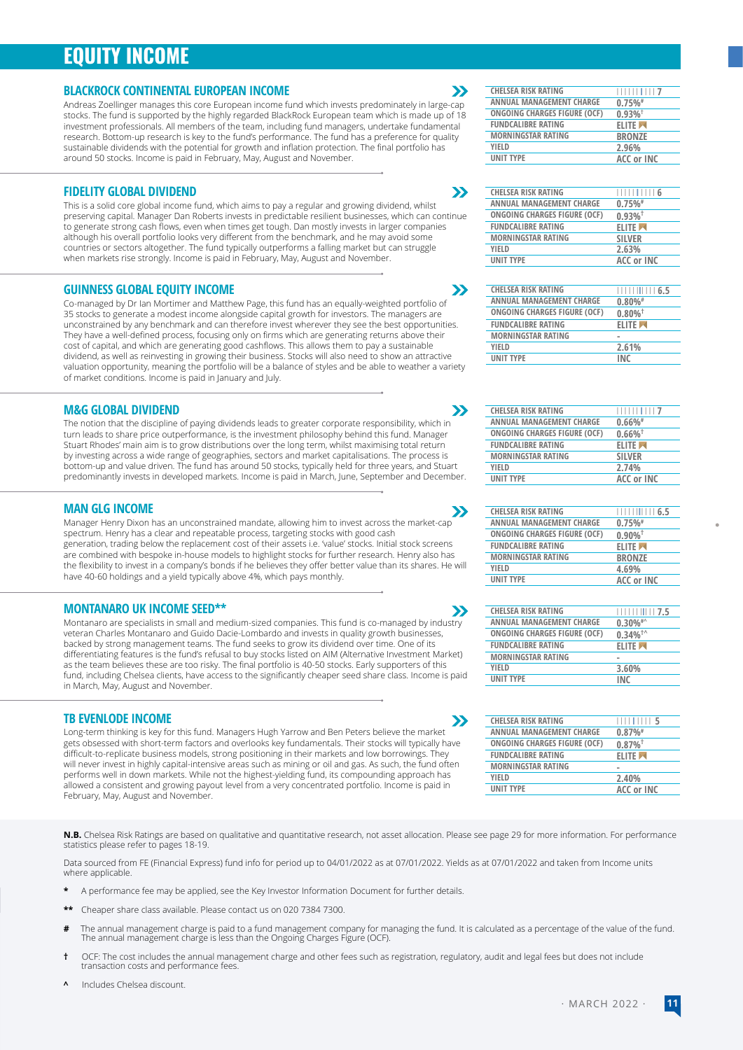# **EQUITY INCOME**

### **BLACKROCK CONTINENTAL EUROPEAN INCOME**

Andreas Zoellinger manages this core European income fund which invests predominately in large-cap stocks. The fund is supported by the highly regarded BlackRock European team which is made up of 18 investment professionals. All members of the team, including fund managers, undertake fundamental research. Bottom-up research is key to the fund's performance. The fund has a preference for quality sustainable dividends with the potential for growth and inflation protection. The final portfolio has around 50 stocks. Income is paid in February, May, August and November.

### **FIDELITY GLOBAL DIVIDEND**

This is a solid core global income fund, which aims to pay a regular and growing dividend, whilst preserving capital. Manager Dan Roberts invests in predictable resilient businesses, which can continue to generate strong cash flows, even when times get tough. Dan mostly invests in larger companies although his overall portfolio looks very different from the benchmark, and he may avoid some countries or sectors altogether. The fund typically outperforms a falling market but can struggle when markets rise strongly. Income is paid in February, May, August and November

### **GUINNESS GLOBAL EQUITY INCOME**

Co-managed by Dr Ian Mortimer and Matthew Page, this fund has an equally-weighted portfolio of 35 stocks to generate a modest income alongside capital growth for investors. The managers are unconstrained by any benchmark and can therefore invest wherever they see the best opportunities. They have a well-defined process, focusing only on firms which are generating returns above their cost of capital, and which are generating good cashflows. This allows them to pay a sustainable dividend, as well as reinvesting in growing their business. Stocks will also need to show an attractive valuation opportunity, meaning the portfolio will be a balance of styles and be able to weather a variety of market conditions. Income is paid in January and July.

### **M&G GLOBAL DIVIDEND**

The notion that the discipline of paying dividends leads to greater corporate responsibility, which in turn leads to share price outperformance, is the investment philosophy behind this fund. Manager Stuart Rhodes' main aim is to grow distributions over the long term, whilst maximising total return by investing across a wide range of geographies, sectors and market capitalisations. The process is bottom-up and value driven. The fund has around 50 stocks, typically held for three years, and Stuart predominantly invests in developed markets. Income is paid in March, June, September and December.

#### **MAN GLG INCOME**

Manager Henry Dixon has an unconstrained mandate, allowing him to invest across the market-cap spectrum. Henry has a clear and repeatable process, targeting stocks with good cash generation, trading below the replacement cost of their assets i.e. 'value' stocks. Initial stock screens are combined with bespoke in-house models to highlight stocks for further research. Henry also has the flexibility to invest in a company's bonds if he believes they offer better value than its shares. He will have 40-60 holdings and a yield typically above 4%, which pays monthly.

#### **MONTANARO UK INCOME SEED\*\***

Montanaro are specialists in small and medium-sized companies. This fund is co-managed by industry veteran Charles Montanaro and Guido Dacie-Lombardo and invests in quality growth businesses, backed by strong management teams. The fund seeks to grow its dividend over time. One of its differentiating features is the fund's refusal to buy stocks listed on AIM (Alternative Investment Market) as the team believes these are too risky. The final portfolio is 40-50 stocks. Early supporters of this fund, including Chelsea clients, have access to the significantly cheaper seed share class. Income is paid in March, May, August and November.

### **TB EVENLODE INCOME**

Long-term thinking is key for this fund. Managers Hugh Yarrow and Ben Peters believe the market gets obsessed with short-term factors and overlooks key fundamentals. Their stocks will typically have difficult-to-replicate business models, strong positioning in their markets and low borrowings. They will never invest in highly capital-intensive areas such as mining or oil and gas. As such, the fund often performs well in down markets. While not the highest-yielding fund, its compounding approach has allowed a consistent and growing payout level from a very concentrated portfolio. Income is paid in February, May, August and November.

**N.B.** Chelsea Risk Ratings are based on qualitative and quantitative research, not asset allocation. Please see page 29 for more information. For performance statistics please refer to pages 18-19.

Data sourced from FE (Financial Express) fund info for period up to 04/01/2022 as at 07/01/2022. Yields as at 07/01/2022 and taken from Income units where applicable.

- **\*** A performance fee may be applied, see the Key Investor Information Document for further details.
- **\*\*** Cheaper share class available. Please contact us on 020 7384 7300.
- The annual management charge is paid to a fund management company for managing the fund. It is calculated as a percentage of the value of the fund.<br>The annual management charge is less than the Ongoing Charges Figure (OCF)
- **†** OCF: The cost includes the annual management charge and other fees such as registration, regulatory, audit and legal fees but does not include transaction costs and performance fees.
- **^** Includes Chelsea discount.

### $\boldsymbol{\Sigma}$

 $\boldsymbol{\Sigma}$ 

 $\boldsymbol{\Sigma}$ 

 $\mathbf{\Sigma}$ 

 $\boldsymbol{\Sigma}$ 

 $\boldsymbol{\Sigma}$ 

 $\mathbf{y}$ 

| <b>CHELSEA RISK RATING</b>   | $\frac{1}{1}$         |
|------------------------------|-----------------------|
| ANNUAL MANAGEMENT CHARGE     | 0.75%                 |
| ONGOING CHARGES FIGURE (OCF) | $0.93\%$ <sup>†</sup> |
| <b>FUNDCALIBRE RATING</b>    | <b>ELITE</b>          |
| <b>MORNINGSTAR RATING</b>    | <b>BRONZE</b>         |
| YIELD                        | 2.96%                 |
| <b>UNIT TYPE</b>             | ACC or INC            |
|                              |                       |

| <b>CHELSEA RISK RATING</b>   | $\frac{1}{1}$ $\frac{1}{1}$ $\frac{1}{1}$ $\frac{1}{1}$ $\frac{6}{6}$ |
|------------------------------|-----------------------------------------------------------------------|
| ANNUAL MANAGEMENT CHARGE     | 0.75%                                                                 |
| ONGOING CHARGES FIGURE (OCF) | $0.93\%$ <sup>†</sup>                                                 |
| <b>FUNDCALIBRE RATING</b>    | <b>ELITE</b>                                                          |
| <b>MORNINGSTAR RATING</b>    | <b>SILVER</b>                                                         |
| <b>YIFLD</b>                 | 2.63%                                                                 |
| <b>UNIT TYPE</b>             | <b>ACC or INC</b>                                                     |
|                              |                                                                       |

| <b>CHELSEA RISK RATING</b>   |                       |
|------------------------------|-----------------------|
| ANNUAL MANAGEMENT CHARGE     | $0.80\%$ #            |
| ONGOING CHARGES FIGURE (OCF) | $0.80\%$ <sup>†</sup> |
| <b>FUNDCALIBRE RATING</b>    | <b>ELITE</b>          |
| <b>MORNINGSTAR RATING</b>    |                       |
| <b>YIFLD</b>                 | 2.61%                 |
| <b>UNIT TYPE</b>             | <b>INC</b>            |
|                              |                       |

| <b>CHELSEA RISK RATING</b>          | $\frac{1}{1}$         |
|-------------------------------------|-----------------------|
| ANNUAL MANAGEMENT CHARGE            | $0.66\%$ #            |
| <b>ONGOING CHARGES FIGURE (OCF)</b> | $0.66\%$ <sup>†</sup> |
| <b>FUNDCALIBRE RATING</b>           | <b>ELITE</b>          |
| <b>MORNINGSTAR RATING</b>           | <b>SILVER</b>         |
| <b>YIFLD</b>                        | 2.74%                 |
| <b>UNIT TYPE</b>                    | <b>ACC or INC</b>     |
|                                     |                       |

| <b>CHELSEA RISK RATING</b>      | 1111111111116.5       |
|---------------------------------|-----------------------|
| <b>ANNUAL MANAGEMENT CHARGE</b> | 0.75%                 |
| ONGOING CHARGES FIGURE (OCF)    | $0.90\%$ <sup>†</sup> |
| <b>FUNDCALIBRE RATING</b>       | <b>ELITE</b>          |
| <b>MORNINGSTAR RATING</b>       | <b>BRONZE</b>         |
| <b>YIFLD</b>                    | 4.69%                 |
| <b>UNIT TYPE</b>                | <b>ACC or INC</b>     |
|                                 |                       |

| <b>CHELSEA RISK RATING</b>          |                         |
|-------------------------------------|-------------------------|
| ANNUAL MANAGEMENT CHARGE            | $0.30\%$ #^             |
| <b>ONGOING CHARGES FIGURE (OCF)</b> | $0.34\%$ <sup>†</sup> ^ |
| <b>FUNDCALIBRE RATING</b>           | <b>ELITE</b>            |
| <b>MORNINGSTAR RATING</b>           |                         |
| YIFLD                               | 3.60%                   |
| <b>UNIT TYPE</b>                    | INC                     |

| <b>CHELSEA RISK RATING</b>          | <b>HIIIIIIII</b> 5    |
|-------------------------------------|-----------------------|
| ANNUAL MANAGEMENT CHARGE            | 0.87%                 |
| <b>ONGOING CHARGES FIGURE (OCF)</b> | $0.87\%$ <sup>†</sup> |
| <b>FUNDCALIBRE RATING</b>           | <b>ELITE</b>          |
| <b>MORNINGSTAR RATING</b>           |                       |
| <b>YIFLD</b>                        | 2.40%                 |
| <b>UNIT TYPE</b>                    | <b>ACC or INC</b>     |
|                                     |                       |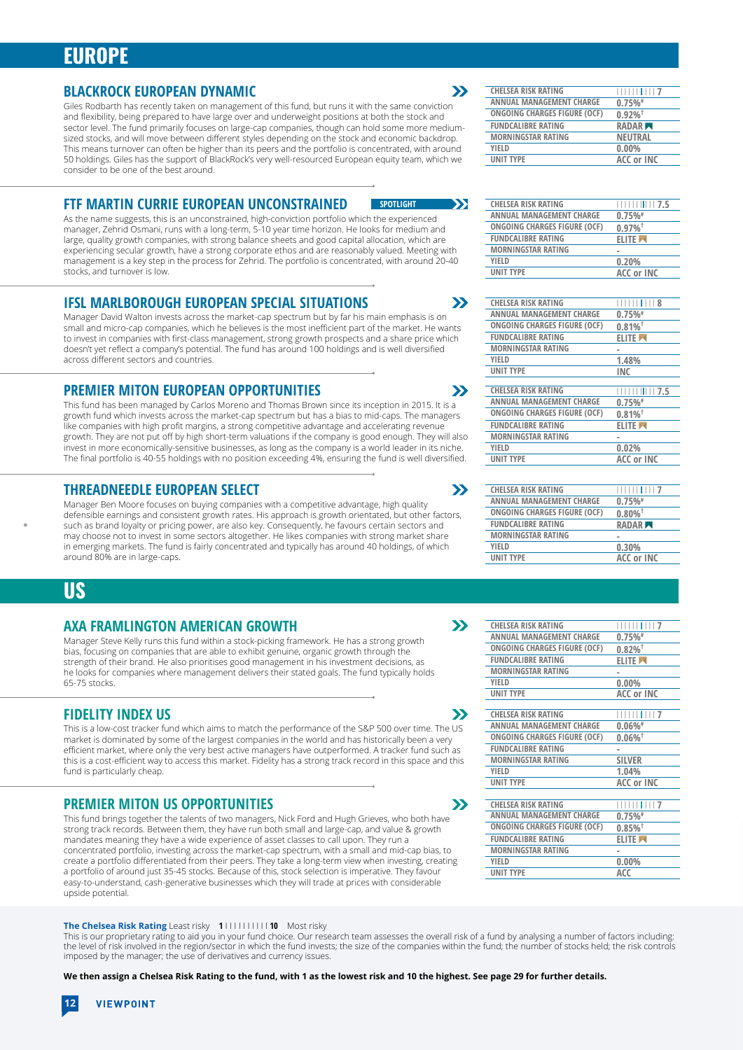### **EUROPE**

### **BLACKROCK EUROPEAN DYNAMIC**

Giles Rodbarth has recently taken on management of this fund, but runs it with the same conviction and flexibility, being prepared to have large over and underweight positions at both the stock and sector level. The fund primarily focuses on large-cap companies, though can hold some more mediumsized stocks, and will move between different styles depending on the stock and economic backdrop. This means turnover can often be higher than its peers and the portfolio is concentrated, with around 50 holdings. Giles has the support of BlackRock's very well-resourced European equity team, which we consider to be one of the best around.

### **FTF MARTIN CURRIE EUROPEAN UNCONSTRAINED**

As the name suggests, this is an unconstrained, high-conviction portfolio which the experienced manager, Zehrid Osmani, runs with a long-term, 5-10 year time horizon. He looks for medium and large, quality growth companies, with strong balance sheets and good capital allocation, which are experiencing secular growth, have a strong corporate ethos and are reasonably valued. Meeting with management is a key step in the process for Zehrid. The portfolio is concentrated, with around 20-40 stocks, and turnover is low.

**SPOTLIGHT**

 $\mathbf{y}$ 

 $\boldsymbol{\Sigma}$ 

 $\boldsymbol{\Sigma}$ 

 $\boldsymbol{\Sigma}$ 

 $\boldsymbol{\Sigma}$ 

 $\boldsymbol{\Sigma}$ 

 $\mathbf{y}$ 

 $\mathbf{y}$ 

### **IFSL MARLBOROUGH EUROPEAN SPECIAL SITUATIONS**

Manager David Walton invests across the market-cap spectrum but by far his main emphasis is on small and micro-cap companies, which he believes is the most inefficient part of the market. He wants to invest in companies with first-class management, strong growth prospects and a share price which doesn't yet reflect a company's potential. The fund has around 100 holdings and is well diversified across different sectors and countries.

### **PREMIER MITON EUROPEAN OPPORTUNITIES**

This fund has been managed by Carlos Moreno and Thomas Brown since its inception in 2015. It is a growth fund which invests across the market-cap spectrum but has a bias to mid-caps. The managers like companies with high profit margins, a strong competitive advantage and accelerating revenue growth. They are not put off by high short-term valuations if the company is good enough. They will also invest in more economically-sensitive businesses, as long as the company is a world leader in its niche. The final portfolio is 40-55 holdings with no position exceeding 4%, ensuring the fund is well diversified.

### **THREADNEEDLE EUROPEAN SELECT**

Manager Ben Moore focuses on buying companies with a competitive advantage, high quality defensible earnings and consistent growth rates. His approach is growth orientated, but other factors, such as brand loyalty or pricing power, are also key. Consequently, he favours certain sectors and may choose not to invest in some sectors altogether. He likes companies with strong market share in emerging markets. The fund is fairly concentrated and typically has around 40 holdings, of which around 80% are in large-caps.

### **US**

### **AXA FRAMLINGTON AMERICAN GROWTH**

Manager Steve Kelly runs this fund within a stock-picking framework. He has a strong growth bias, focusing on companies that are able to exhibit genuine, organic growth through the strength of their brand. He also prioritises good management in his investment decisions, as he looks for companies where management delivers their stated goals. The fund typically holds 65-75 stocks.

### **FIDELITY INDEX US**

This is a low-cost tracker fund which aims to match the performance of the S&P 500 over time. The US market is dominated by some of the largest companies in the world and has historically been a very efficient market, where only the very best active managers have outperformed. A tracker fund such as this is a cost-efficient way to access this market. Fidelity has a strong track record in this space and this fund is particularly cheap.

### **PREMIER MITON US OPPORTUNITIES**

This fund brings together the talents of two managers, Nick Ford and Hugh Grieves, who both have strong track records. Between them, they have run both small and large-cap, and value & growth mandates meaning they have a wide experience of asset classes to call upon. They run a concentrated portfolio, investing across the market-cap spectrum, with a small and mid-cap bias, to create a portfolio differentiated from their peers. They take a long-term view when investing, creating a portfolio of around just 35-45 stocks. Because of this, stock selection is imperative. They favour easy-to-understand, cash-generative businesses which they will trade at prices with considerable upside potential.

#### **The Chelsea Risk Rating** Least risky **1** I I I I I I I I I I **10** Most risky

This is our proprietary rating to aid you in your fund choice. Our research team assesses the overall risk of a fund by analysing a number of factors including: the level of risk involved in the region/sector in which the fund invests; the size of the companies within the fund; the number of stocks held; the risk controls imposed by the manager; the use of derivatives and currency issues.

**We then assign a Chelsea Risk Rating to the fund, with 1 as the lowest risk and 10 the highest. See page 29 for further details.**

| <b>CHELSEA RISK RATING</b>   | $\frac{1}{1}$ $\frac{1}{1}$ $\frac{1}{1}$ $\frac{1}{1}$ $\frac{1}{7}$ |
|------------------------------|-----------------------------------------------------------------------|
| ANNUAL MANAGEMENT CHARGE     | 0.75%                                                                 |
| ONGOING CHARGES FIGURE (OCF) | $0.92\%$ <sup>†</sup>                                                 |
| <b>FUNDCALIBRE RATING</b>    | RADAR <sub>N</sub>                                                    |
| <b>MORNINGSTAR RATING</b>    | <b>NEUTRAL</b>                                                        |
| <b>YIFLD</b>                 | $0.00\%$                                                              |
| <b>UNIT TYPE</b>             | ACC or INC                                                            |
|                              |                                                                       |

| <b>CHELSEA RISK RATING</b>      | $             $ 7.5   |
|---------------------------------|-----------------------|
| <b>ANNUAL MANAGEMENT CHARGE</b> | 0.75%                 |
| ONGOING CHARGES FIGURE (OCF)    | $0.97\%$ <sup>†</sup> |
| <b>FUNDCALIBRE RATING</b>       | <b>ELITE</b>          |
| <b>MORNINGSTAR RATING</b>       |                       |
| <b>YIFLD</b>                    | 0.20%                 |
| <b>UNIT TYPE</b>                | <b>ACC or INC</b>     |

| <b>CHELSEA RISK RATING</b>      |                       |
|---------------------------------|-----------------------|
| <b>ANNUAL MANAGEMENT CHARGE</b> | 0.75%                 |
| ONGOING CHARGES FIGURE (OCF)    | $0.81\%$ <sup>†</sup> |
| <b>FUNDCALIBRE RATING</b>       | <b>ELITE</b>          |
| <b>MORNINGSTAR RATING</b>       |                       |
| YIELD                           | 1.48%                 |
| <b>UNIT TYPE</b>                | <b>INC</b>            |
|                                 |                       |
| <b>CHELSEA RISK RATING</b>      | 117.5<br>Ш            |
| <b>ANNUAL MANAGEMENT CHARGE</b> | 0.75%                 |
| ONGOING CHARGES FIGURE (OCF)    | $0.81\%$ <sup>†</sup> |
| <b>FUNDCALIBRE RATING</b>       | <b>ELITE</b>          |
| <b>MORNINGSTAR RATING</b>       | -                     |
| YIELD                           | 0.02%                 |
| <b>UNIT TYPE</b>                | <b>ACC or INC</b>     |
|                                 |                       |
|                                 |                       |
| CHELSEA RISK RATING             |                       |

| <b>CHELSEA RISK RATING</b>   | <b>1111111117</b>     |
|------------------------------|-----------------------|
| ANNUAL MANAGEMENT CHARGE     | 0.75%                 |
| ONGOING CHARGES FIGURE (OCF) | $0.80\%$ <sup>†</sup> |
| <b>FUNDCALIBRE RATING</b>    | RADAR <sub>N</sub>    |
| <b>MORNINGSTAR RATING</b>    |                       |
| <b>YIFLD</b>                 | 0.30%                 |
| <b>UNIT TYPE</b>             | <b>ACC or INC</b>     |
|                              |                       |

| <b>CHELSEA RISK RATING</b>      | 117                   |
|---------------------------------|-----------------------|
| <b>ANNUAL MANAGEMENT CHARGE</b> | 0.75%                 |
| ONGOING CHARGES FIGURE (OCF)    | $0.82\%$ <sup>†</sup> |
| <b>FUNDCALIBRE RATING</b>       | <b>ELITE</b>          |
| <b>MORNINGSTAR RATING</b>       | -                     |
| YIELD                           | 0.00%                 |
| <b>UNIT TYPE</b>                | <b>ACC or INC</b>     |
|                                 |                       |
| <b>CHELSEA RISK RATING</b>      | $\mathbf{1}$ 7        |
| <b>ANNUAL MANAGEMENT CHARGE</b> | $0.06\%$ #            |
| ONGOING CHARGES FIGURE (OCF)    | $0.06\%$ <sup>†</sup> |
| <b>FUNDCALIBRE RATING</b>       | ۰                     |
| <b>MORNINGSTAR RATING</b>       | <b>SILVER</b>         |
| <b>YIFLD</b>                    | 1.04%                 |
| <b>UNIT TYPE</b>                | <b>ACC or INC</b>     |
|                                 |                       |
| <b>CHELSEA RISK RATING</b>      | 7                     |
| <b>ANNUAL MANAGEMENT CHARGE</b> | 0.75%                 |
| ONGOING CHARGES FIGURE (OCF)    | $0.85\%$ <sup>†</sup> |
| <b>FUNDCALIBRE RATING</b>       | <b>ELITE</b>          |
| <b>MORNINGSTAR RATING</b>       |                       |
| <b>YIFLD</b>                    | $0.00\%$              |
| <b>UNIT TYPE</b>                | ACC                   |

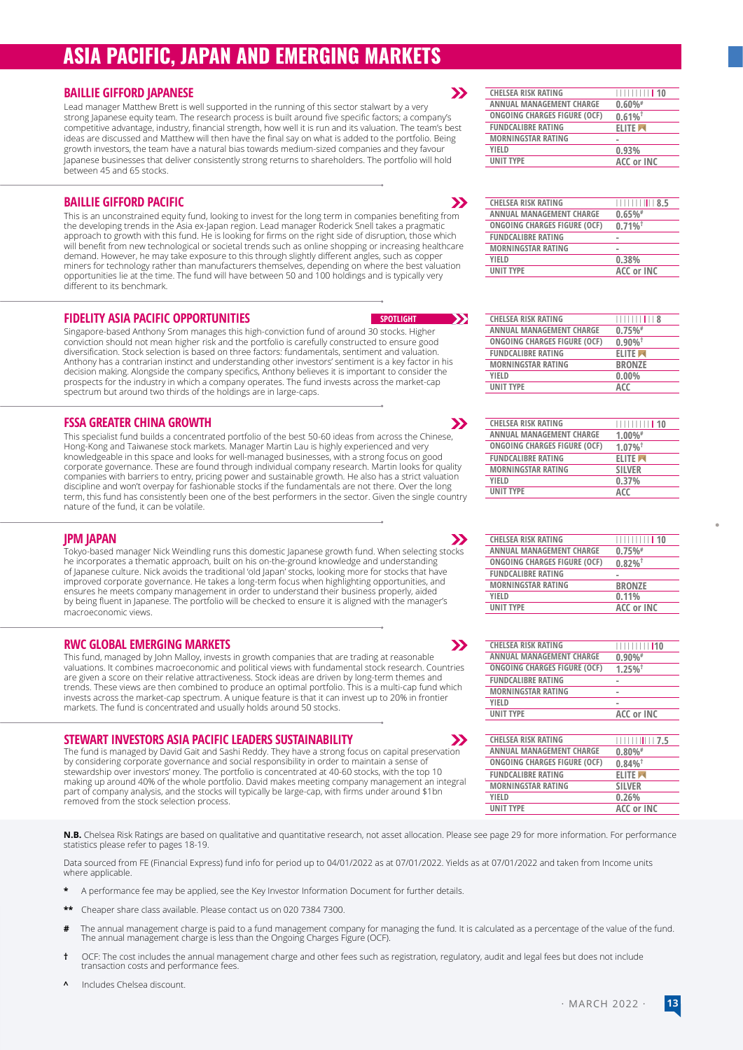# **ASIA PACIFIC, JAPAN AND EMERGING MARKETS**

### **BAILLIE GIFFORD JAPANESE**

Lead manager Matthew Brett is well supported in the running of this sector stalwart by a very strong Japanese equity team. The research process is built around five specific factors; a company's competitive advantage, industry, financial strength, how well it is run and its valuation. The team's best ideas are discussed and Matthew will then have the final say on what is added to the portfolio. Being growth investors, the team have a natural bias towards medium-sized companies and they favour Japanese businesses that deliver consistently strong returns to shareholders. The portfolio will hold between 45 and 65 stocks.

### **BAILLIE GIFFORD PACIFIC**

This is an unconstrained equity fund, looking to invest for the long term in companies benefiting from the developing trends in the Asia ex-Japan region. Lead manager Roderick Snell takes a pragmatic approach to growth with this fund. He is looking for firms on the right side of disruption, those which will benefit from new technological or societal trends such as online shopping or increasing healthcare demand. However, he may take exposure to this through slightly different angles, such as copper miners for technology rather than manufacturers themselves, depending on where the best valuation opportunities lie at the time. The fund will have between 50 and 100 holdings and is typically very different to its benchmark.

### **FIDELITY ASIA PACIFIC OPPORTUNITIES**

Singapore-based Anthony Srom manages this high-conviction fund of around 30 stocks. Higher conviction should not mean higher risk and the portfolio is carefully constructed to ensure good diversification. Stock selection is based on three factors: fundamentals, sentiment and valuation. Anthony has a contrarian instinct and understanding other investors' sentiment is a key factor in his decision making. Alongside the company specifics, Anthony believes it is important to consider the prospects for the industry in which a company operates. The fund invests across the market-cap spectrum but around two thirds of the holdings are in large-caps.

### **FSSA GREATER CHINA GROWTH**

This specialist fund builds a concentrated portfolio of the best 50-60 ideas from across the Chinese, Hong-Kong and Taiwanese stock markets. Manager Martin Lau is highly experienced and very knowledgeable in this space and looks for well-managed businesses, with a strong focus on good corporate governance. These are found through individual company research. Martin looks for quality companies with barriers to entry, pricing power and sustainable growth. He also has a strict valuation discipline and won't overpay for fashionable stocks if the fundamentals are not there. Over the long term, this fund has consistently been one of the best performers in the sector. Given the single country nature of the fund, it can be volatile.

### **JPM JAPAN**

 $\boldsymbol{\Sigma}$ Tokyo-based manager Nick Weindling runs this domestic Japanese growth fund. When selecting stocks he incorporates a thematic approach, built on his on-the-ground knowledge and understanding of Japanese culture. Nick avoids the traditional 'old Japan' stocks, looking more for stocks that have improved corporate governance. He takes a long-term focus when highlighting opportunities, and ensures he meets company management in order to understand their business properly, aided by being fluent in Japanese. The portfolio will be checked to ensure it is aligned with the manager's macroeconomic views.

### **RWC GLOBAL EMERGING MARKETS**

This fund, managed by John Malloy, invests in growth companies that are trading at reasonable valuations. It combines macroeconomic and political views with fundamental stock research. Countries are given a score on their relative attractiveness. Stock ideas are driven by long-term themes and trends. These views are then combined to produce an optimal portfolio. This is a multi-cap fund which invests across the market-cap spectrum. A unique feature is that it can invest up to 20% in frontier markets. The fund is concentrated and usually holds around 50 stocks.

### **STEWART INVESTORS ASIA PACIFIC LEADERS SUSTAINABILITY**

The fund is managed by David Gait and Sashi Reddy. They have a strong focus on capital preservation by considering corporate governance and social responsibility in order to maintain a sense of stewardship over investors' money. The portfolio is concentrated at 40-60 stocks, with the top 10 making up around 40% of the whole portfolio. David makes meeting company management an integral part of company analysis, and the stocks will typically be large-cap, with firms under around \$1bn removed from the stock selection process.

**N.B.** Chelsea Risk Ratings are based on qualitative and quantitative research, not asset allocation. Please see page 29 for more information. For performance statistics please refer to pages 18-19.

**SPOTLIGHT** 

 $\rightarrow$ 

 $\boldsymbol{\Sigma}$ 

 $\boldsymbol{\Sigma}$ 

 $\mathbf{v}$ 

 $\boldsymbol{\Sigma}$ 

 $\mathbf{y}$ 

Data sourced from FE (Financial Express) fund info for period up to 04/01/2022 as at 07/01/2022. Yields as at 07/01/2022 and taken from Income units where applicable.

- **\*** A performance fee may be applied, see the Key Investor Information Document for further details.
- **\*\*** Cheaper share class available. Please contact us on 020 7384 7300.
- The annual management charge is paid to a fund management company for managing the fund. It is calculated as a percentage of the value of the fund.<br>The annual management charge is less than the Ongoing Charges Figure (OCF)
- **†** OCF: The cost includes the annual management charge and other fees such as registration, regulatory, audit and legal fees but does not include transaction costs and performance fees.
- **^** Includes Chelsea discount.

| <b>CHELSEA RISK RATING</b>   | 11111111111110        |
|------------------------------|-----------------------|
| ANNUAL MANAGEMENT CHARGE     | $0.60\%$ #            |
| ONGOING CHARGES FIGURE (OCF) | $0.61\%$ <sup>†</sup> |
| <b>FUNDCALIBRE RATING</b>    | <b>ELITE</b>          |
| <b>MORNINGSTAR RATING</b>    | -                     |
| <b>YIFLD</b>                 | 0.93%                 |
| <b>UNIT TYPE</b>             | <b>ACC or INC</b>     |
|                              |                       |

| <b>CHELSEA RISK RATING</b>   | 8.5                   |
|------------------------------|-----------------------|
| ANNUAL MANAGEMENT CHARGE     | 0.65%                 |
| ONGOING CHARGES FIGURE (OCF) | $0.71\%$ <sup>†</sup> |
| <b>FUNDCALIBRE RATING</b>    |                       |
| <b>MORNINGSTAR RATING</b>    |                       |
| YIELD                        | 0.38%                 |
| <b>UNIT TYPE</b>             | <b>ACC or INC</b>     |
|                              |                       |

| <b>CHELSEA RISK RATING</b>          | <b>HIIIIIIIIII</b> III |
|-------------------------------------|------------------------|
| ANNUAL MANAGEMENT CHARGE            | 0.75%                  |
| <b>ONGOING CHARGES FIGURE (OCF)</b> | $0.90\%$ <sup>†</sup>  |
| <b>FUNDCALIBRE RATING</b>           | <b>ELITE</b>           |
| <b>MORNINGSTAR RATING</b>           | <b>BRONZE</b>          |
| <b>YIFLD</b>                        | $0.00\%$               |
| <b>UNIT TYPE</b>                    | ACC                    |
|                                     |                        |

| <b>CHELSEA RISK RATING</b>   | <b>HIIIIIIII 10</b>   |
|------------------------------|-----------------------|
| ANNUAL MANAGEMENT CHARGE     | $1.00\%$ #            |
| ONGOING CHARGES FIGURE (OCF) | $1.07\%$ <sup>†</sup> |
| <b>FUNDCALIBRE RATING</b>    | <b>ELITE</b>          |
| <b>MORNINGSTAR RATING</b>    | <b>SILVER</b>         |
| <b>YIFLD</b>                 | 0.37%                 |
| <b>UNIT TYPE</b>             | ACC                   |
|                              |                       |

| <b>CHELSEA RISK RATING</b>   | 1111111111110         |
|------------------------------|-----------------------|
| ANNUAL MANAGEMENT CHARGE     | 0.75%                 |
| ONGOING CHARGES FIGURE (OCF) | $0.82\%$ <sup>†</sup> |
| <b>FUNDCALIBRE RATING</b>    |                       |
| <b>MORNINGSTAR RATING</b>    | <b>BRONZE</b>         |
| YIFLD                        | 0.11%                 |
| <b>UNIT TYPE</b>             | <b>ACC or INC</b>     |

| <b>CHELSEA RISK RATING</b>   | 111111111110          |
|------------------------------|-----------------------|
| ANNUAL MANAGEMENT CHARGE     | $0.90\%$ <sup>#</sup> |
| ONGOING CHARGES FIGURE (OCF) | $1.25\%$ <sup>†</sup> |
| <b>FUNDCALIBRE RATING</b>    |                       |
| <b>MORNINGSTAR RATING</b>    |                       |
| <b>YIFLD</b>                 |                       |
| <b>UNIT TYPE</b>             | ACC or INC            |
|                              |                       |

| <b>CHELSEA RISK RATING</b>   | <u>                               7.5</u> |
|------------------------------|-------------------------------------------|
| ANNUAL MANAGEMENT CHARGE     | $0.80\%$ #                                |
| ONGOING CHARGES FIGURE (OCF) | $0.84\%$ <sup>†</sup>                     |
| <b>FUNDCALIBRE RATING</b>    | <b>ELITE</b>                              |
| <b>MORNINGSTAR RATING</b>    | <b>SILVER</b>                             |
| YIFLD                        | 0.26%                                     |
| <b>UNIT TYPE</b>             | ACC or INC                                |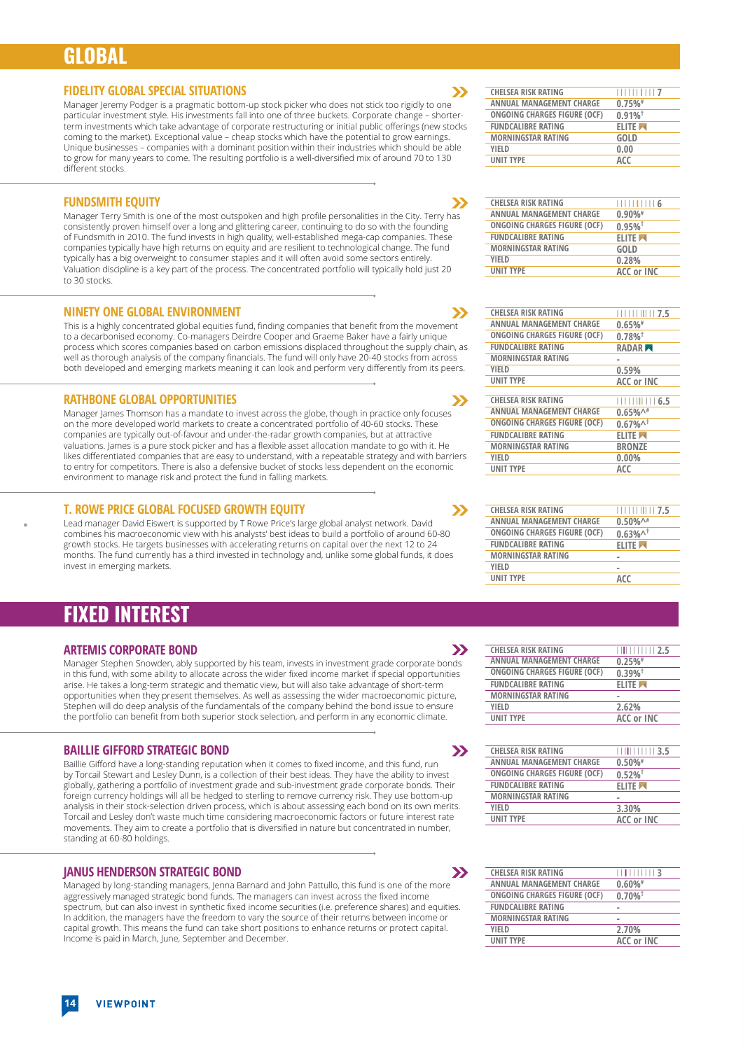### **GLOBAL**

#### **FIDELITY GLOBAL SPECIAL SITUATIONS**

Manager Jeremy Podger is a pragmatic bottom-up stock picker who does not stick too rigidly to one particular investment style. His investments fall into one of three buckets. Corporate change – shorterterm investments which take advantage of corporate restructuring or initial public offerings (new stocks coming to the market). Exceptional value – cheap stocks which have the potential to grow earnings. Unique businesses – companies with a dominant position within their industries which should be able to grow for many years to come. The resulting portfolio is a well-diversified mix of around 70 to 130 different stocks.

### **FUNDSMITH EQUITY**

Manager Terry Smith is one of the most outspoken and high profile personalities in the City. Terry has consistently proven himself over a long and glittering career, continuing to do so with the founding of Fundsmith in 2010. The fund invests in high quality, well-established mega-cap companies. These companies typically have high returns on equity and are resilient to technological change. The fund typically has a big overweight to consumer staples and it will often avoid some sectors entirely. Valuation discipline is a key part of the process. The concentrated portfolio will typically hold just 20 to 30 stocks.

### **NINETY ONE GLOBAL ENVIRONMENT**

This is a highly concentrated global equities fund, finding companies that benefit from the movement to a decarbonised economy. Co-managers Deirdre Cooper and Graeme Baker have a fairly unique process which scores companies based on carbon emissions displaced throughout the supply chain, as well as thorough analysis of the company financials. The fund will only have 20-40 stocks from across both developed and emerging markets meaning it can look and perform very differently from its peers.

### **RATHBONE GLOBAL OPPORTUNITIES**

Manager James Thomson has a mandate to invest across the globe, though in practice only focuses on the more developed world markets to create a concentrated portfolio of 40-60 stocks. These companies are typically out-of-favour and under-the-radar growth companies, but at attractive valuations. James is a pure stock picker and has a flexible asset allocation mandate to go with it. He likes differentiated companies that are easy to understand, with a repeatable strategy and with barriers to entry for competitors. There is also a defensive bucket of stocks less dependent on the economic environment to manage risk and protect the fund in falling markets.

### **T. ROWE PRICE GLOBAL FOCUSED GROWTH EQUITY**

Lead manager David Eiswert is supported by T Rowe Price's large global analyst network. David combines his macroeconomic view with his analysts' best ideas to build a portfolio of around 60-80 growth stocks. He targets businesses with accelerating returns on capital over the next 12 to 24 months. The fund currently has a third invested in technology and, unlike some global funds, it does invest in emerging markets.

### **FIXED INTEREST**

### **ARTEMIS CORPORATE BOND**

Manager Stephen Snowden, ably supported by his team, invests in investment grade corporate bonds in this fund, with some ability to allocate across the wider fixed income market if special opportunities arise. He takes a long-term strategic and thematic view, but will also take advantage of short-term opportunities when they present themselves. As well as assessing the wider macroeconomic picture, Stephen will do deep analysis of the fundamentals of the company behind the bond issue to ensure the portfolio can benefit from both superior stock selection, and perform in any economic climate.

### **BAILLIE GIFFORD STRATEGIC BOND**

Baillie Gifford have a long-standing reputation when it comes to fixed income, and this fund, run by Torcail Stewart and Lesley Dunn, is a collection of their best ideas. They have the ability to invest globally, gathering a portfolio of investment grade and sub-investment grade corporate bonds. Their foreign currency holdings will all be hedged to sterling to remove currency risk. They use bottom-up analysis in their stock-selection driven process, which is about assessing each bond on its own merits. Torcail and Lesley don't waste much time considering macroeconomic factors or future interest rate movements. They aim to create a portfolio that is diversified in nature but concentrated in number, standing at 60-80 holdings.

### **JANUS HENDERSON STRATEGIC BOND**

Managed by long-standing managers, Jenna Barnard and John Pattullo, this fund is one of the more aggressively managed strategic bond funds. The managers can invest across the fixed income spectrum, but can also invest in synthetic fixed income securities (i.e. preference shares) and equities. In addition, the managers have the freedom to vary the source of their returns between income or capital growth. This means the fund can take short positions to enhance returns or protect capital. Income is paid in March, June, September and December.



 $\boldsymbol{\Sigma}$ 

 $\boldsymbol{\Sigma}$ 

У

 $\boldsymbol{\Sigma}$ 

 $\boldsymbol{\Sigma}$ 

 $\mathbf{y}$ 

 $\boldsymbol{\Sigma}$ 

 $\boldsymbol{\Sigma}$ 

| <b>CHELSEA RISK RATING</b>          | $\frac{1}{1}$ $\frac{1}{1}$ $\frac{1}{1}$ $\frac{1}{1}$ $\frac{6}{6}$ |
|-------------------------------------|-----------------------------------------------------------------------|
| ANNUAL MANAGEMENT CHARGE            | $0.90\%$ #                                                            |
| <b>ONGOING CHARGES FIGURE (OCF)</b> | $0.95\%$ <sup>†</sup>                                                 |
| <b>FUNDCALIBRE RATING</b>           | <b>ELITE</b>                                                          |
| <b>MORNINGSTAR RATING</b>           | <b>GOLD</b>                                                           |
| YIFLD                               | 0.28%                                                                 |
| <b>UNIT TYPE</b>                    | <b>ACC or INC</b>                                                     |
|                                     |                                                                       |

| <b>CHELSEA RISK RATING</b>      |                                    |
|---------------------------------|------------------------------------|
| <b>ANNUAL MANAGEMENT CHARGE</b> | 0.65%                              |
| ONGOING CHARGES FIGURE (OCF)    | $0.78\%$ <sup>†</sup>              |
| <b>FUNDCALIBRE RATING</b>       | RADAR <sub>M</sub>                 |
| <b>MORNINGSTAR RATING</b>       | -                                  |
| <b>YIFLD</b>                    | 0.59%                              |
| <b>UNIT TYPE</b>                | ACC or INC                         |
|                                 |                                    |
| <b>CHELSEA RISK RATING</b>      | 1111111116.5                       |
| <b>ANNUAL MANAGEMENT CHARGE</b> | $0.65\%$ <sup><math>+</math></sup> |
| ONGOING CHARGES FIGURE (OCF)    | $0.67\%$ <sup>1</sup>              |
| <b>FUNDCALIBRE RATING</b>       | <b>ELITE</b>                       |
| <b>MORNINGSTAR RATING</b>       | <b>BRONZE</b>                      |
| YIFLD                           | 0.00%                              |
| <b>UNIT TYPE</b>                | ACC                                |
|                                 |                                    |

| <b>CHELSEA RISK RATING</b>      | $\frac{1}{1}$ $\frac{1}{1}$ $\frac{1}{1}$ $\frac{1}{1}$ $\frac{1}{1}$ $\frac{1}{2}$ , $\frac{1}{5}$ |
|---------------------------------|-----------------------------------------------------------------------------------------------------|
| <b>ANNUAL MANAGEMENT CHARGE</b> | $0.50\%$ <sup><math>A#</math></sup>                                                                 |
| ONGOING CHARGES FIGURE (OCF)    | $0.63\%$ <sup>1</sup>                                                                               |
| <b>FUNDCALIBRE RATING</b>       | <b>ELITE</b>                                                                                        |
| <b>MORNINGSTAR RATING</b>       |                                                                                                     |
| <b>YIFLD</b>                    |                                                                                                     |
| <b>UNIT TYPE</b>                | ACC                                                                                                 |
|                                 |                                                                                                     |

| <b>CHELSEA RISK RATING</b>      | 11111111111112.5      |
|---------------------------------|-----------------------|
| <b>ANNUAL MANAGEMENT CHARGE</b> | 0.25%                 |
| ONGOING CHARGES FIGURE (OCF)    | $0.39\%$ <sup>†</sup> |
| <b>FUNDCALIBRE RATING</b>       | <b>ELITE</b>          |
| <b>MORNINGSTAR RATING</b>       |                       |
| <b>YIFLD</b>                    | 2.62%                 |
| <b>UNIT TYPE</b>                | <b>ACC or INC</b>     |

|                  | <b>CHELSEA RISK RATING</b>      | <u>                3.5</u> |
|------------------|---------------------------------|----------------------------|
|                  | <b>ANNUAL MANAGEMENT CHARGE</b> | $0.50\%$ #                 |
|                  | ONGOING CHARGES FIGURE (OCF)    | $0.52\%$ <sup>†</sup>      |
|                  | <b>FUNDCALIBRE RATING</b>       | <b>ELITE</b>               |
|                  | <b>MORNINGSTAR RATING</b>       |                            |
| YIELD            |                                 | 3.30%                      |
| <b>UNIT TYPE</b> |                                 | <b>ACC or INC</b>          |
|                  |                                 |                            |

| <b>CHELSEA RISK RATING</b>      | 11 1 1 1 1 1 1 1 <b>3</b> |
|---------------------------------|---------------------------|
| <b>ANNUAL MANAGEMENT CHARGE</b> | $0.60\%$ #                |
| ONGOING CHARGES FIGURE (OCF)    | $0.70\%$ <sup>†</sup>     |
| <b>FUNDCALIBRE RATING</b>       |                           |
| <b>MORNINGSTAR RATING</b>       |                           |
| YIFLD                           | 2.70%                     |
| <b>UNIT TYPE</b>                | <b>ACC or INC</b>         |
|                                 |                           |